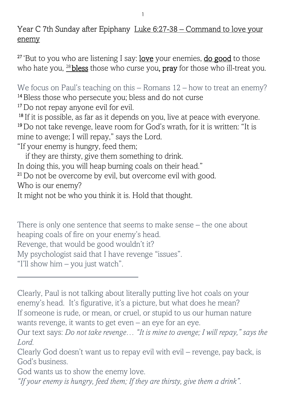## Year C 7th Sunday after Epiphany Luke 6:27-38 – Command to love your enemy

<sup>27</sup>'But to you who are listening I say: love your enemies, do good to those who hate you,  $^{28}$  bless those who curse you, pray for those who ill-treat you.

We focus on Paul's teaching on this – Romans  $12$  – how to treat an enemy? <sup>14</sup> Bless those who persecute you; bless and do not curse

<sup>17</sup> Do not repay anyone evil for evil. <sup>18</sup> If it is possible, as far as it depends on you, live at peace with everyone.

<sup>19</sup>Do not take revenge, leave room for God's wrath, for it is written: "It is mine to avenge; I will repay," says the Lord.

"If your enemy is hungry, feed them;

 if they are thirsty, give them something to drink. In doing this, you will heap burning coals on their head." <sup>21</sup> Do not be overcome by evil, but overcome evil with good. Who is our enemy? It might not be who you think it is. Hold that thought.

There is only one sentence that seems to make sense – the one about heaping coals of fire on your enemy's head. Revenge, that would be good wouldn't it? My psychologist said that I have revenge "issues". "I'll show him – you just watch".

Clearly, Paul is not talking about literally putting live hot coals on your enemy's head. It's figurative, it's a picture, but what does he mean? If someone is rude, or mean, or cruel, or stupid to us our human nature wants revenge, it wants to get even – an eye for an eye.

Clearly God doesn't want us to repay evil with evil – revenge, pay back, is God's business.

God wants us to show the enemy love.

*"If your enemy is hungry, feed them; If they are thirsty, give them a drink"*.

Our text says: *Do not take revenge… "It is mine to avenge; I will repay," says the Lord.*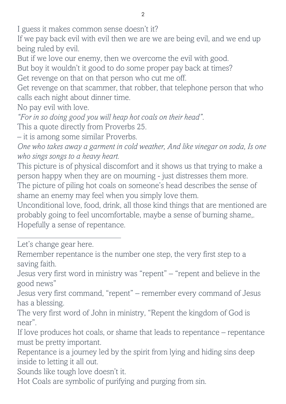I guess it makes common sense doesn't it?

If we pay back evil with evil then we are we are being evil, and we end up being ruled by evil.

But if we love our enemy, then we overcome the evil with good.

But boy it wouldn't it good to do some proper pay back at times?

Get revenge on that on that person who cut me off.

Get revenge on that scammer, that robber, that telephone person that who calls each night about dinner time.

No pay evil with love.

*"For in so doing good you will heap hot coals on their head"*.

This a quote directly from Proverbs 25.

– it is among some similar Proverbs.

*One who takes away a garment in cold weather, And like vinegar on soda, Is one who sings songs to a heavy heart.*

This picture is of physical discomfort and it shows us that trying to make a person happy when they are on mourning - just distresses them more.

The picture of piling hot coals on someone's head describes the sense of shame an enemy may feel when you simply love them.

Unconditional love, food, drink, all those kind things that are mentioned are probably going to feel uncomfortable, maybe a sense of burning shame,. Hopefully a sense of repentance.

Let's change gear here.

Remember repentance is the number one step, the very first step to a saving faith.

Jesus very first word in ministry was "repent" – "repent and believe in the good news"

Jesus very first command, "repent" – remember every command of Jesus has a blessing.

The very first word of John in ministry, "Repent the kingdom of God is near".

If love produces hot coals, or shame that leads to repentance – repentance must be pretty important.

Repentance is a journey led by the spirit from lying and hiding sins deep inside to letting it all out.

Sounds like tough love doesn't it.

Hot Coals are symbolic of purifying and purging from sin.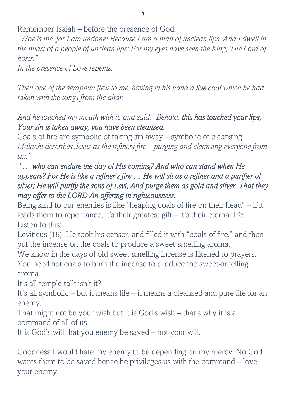Remember Isaiah – before the presence of God:

*"Woe is me, for I am undone! Because I am a man of unclean lips, And I dwell in*  the midst of a people of unclean lips; For my eyes have seen the King, The Lord of *hosts."* 

*In the presence of Love repents.* 

*Then one of the seraphim flew to me, having in his hand a live coal which he had taken with the tongs from the altar.* 

*And he touched my mouth with it, and said: "Behold, this has touched your lips; Your sin is taken away, you have been cleansed.* 

Coals of fire are symbolic of taking sin away – symbolic of cleansing. *Malachi describes Jesus as the refiners fire – purging and cleansing everyone from sin.'* 

## *"… who can endure the day of His coming? And who can stand when He appears? For He is like a refiner's fire … He will sit as a refiner and a purifier of silver; He will purify the sons of Levi, And purge them as gold and silver, That they may offer to the LORD An offering in righteousness.*

Being kind to our enemies is like "heaping coals of fire on their head" – if it leads them to repentance, it's their greatest gift – it's their eternal life. Listen to this:

Leviticus (16) He took his censer, and filled it with "coals of fire," and then put the incense on the coals to produce a sweet-smelling aroma.

We know in the days of old sweet-smelling incense is likened to prayers. You need hot coals to burn the incense to produce the sweet-smelling aroma.

It's all temple talk isn't it?

It's all symbolic – but it means life – it means a cleansed and pure life for an enemy.

That might not be your wish but it is God's wish – that's why it is a command of all of us.

It is God's will that you enemy be saved – not your will.

Goodness I would hate my enemy to be depending on my mercy. No God wants them to be saved hence he privileges us with the command – love your enemy.